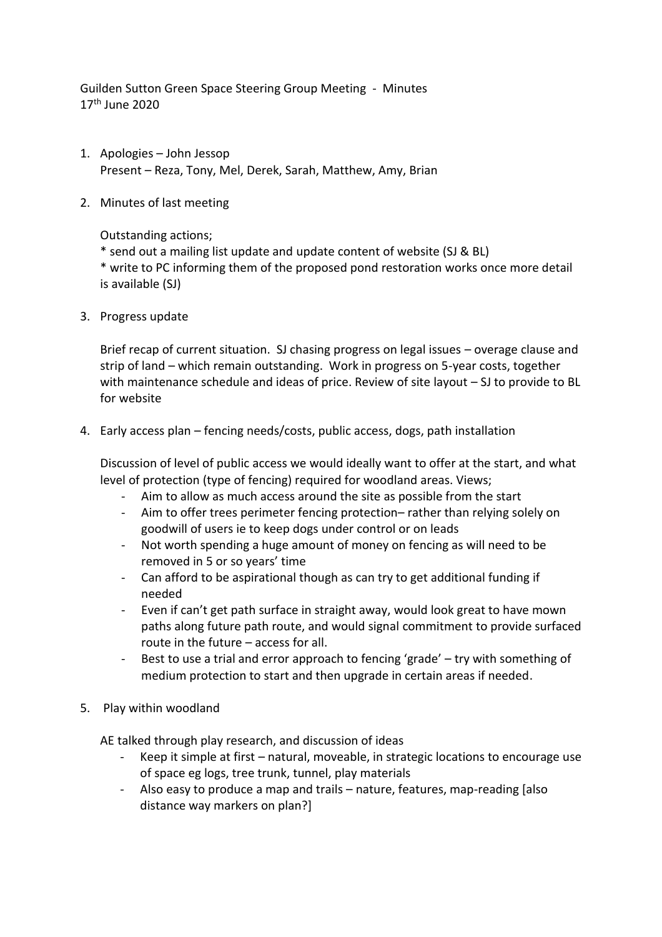Guilden Sutton Green Space Steering Group Meeting - Minutes 17th June 2020

- 1. Apologies John Jessop Present – Reza, Tony, Mel, Derek, Sarah, Matthew, Amy, Brian
- 2. Minutes of last meeting

Outstanding actions;

\* send out a mailing list update and update content of website (SJ & BL)

\* write to PC informing them of the proposed pond restoration works once more detail is available (SJ)

3. Progress update

Brief recap of current situation. SJ chasing progress on legal issues – overage clause and strip of land – which remain outstanding. Work in progress on 5-year costs, together with maintenance schedule and ideas of price. Review of site layout – SJ to provide to BL for website

4. Early access plan – fencing needs/costs, public access, dogs, path installation

Discussion of level of public access we would ideally want to offer at the start, and what level of protection (type of fencing) required for woodland areas. Views;

- Aim to allow as much access around the site as possible from the start
- Aim to offer trees perimeter fencing protection– rather than relying solely on goodwill of users ie to keep dogs under control or on leads
- Not worth spending a huge amount of money on fencing as will need to be removed in 5 or so years' time
- Can afford to be aspirational though as can try to get additional funding if needed
- Even if can't get path surface in straight away, would look great to have mown paths along future path route, and would signal commitment to provide surfaced route in the future – access for all.
- Best to use a trial and error approach to fencing 'grade' try with something of medium protection to start and then upgrade in certain areas if needed.
- 5. Play within woodland

AE talked through play research, and discussion of ideas

- Keep it simple at first natural, moveable, in strategic locations to encourage use of space eg logs, tree trunk, tunnel, play materials
- Also easy to produce a map and trails nature, features, map-reading [also distance way markers on plan?]